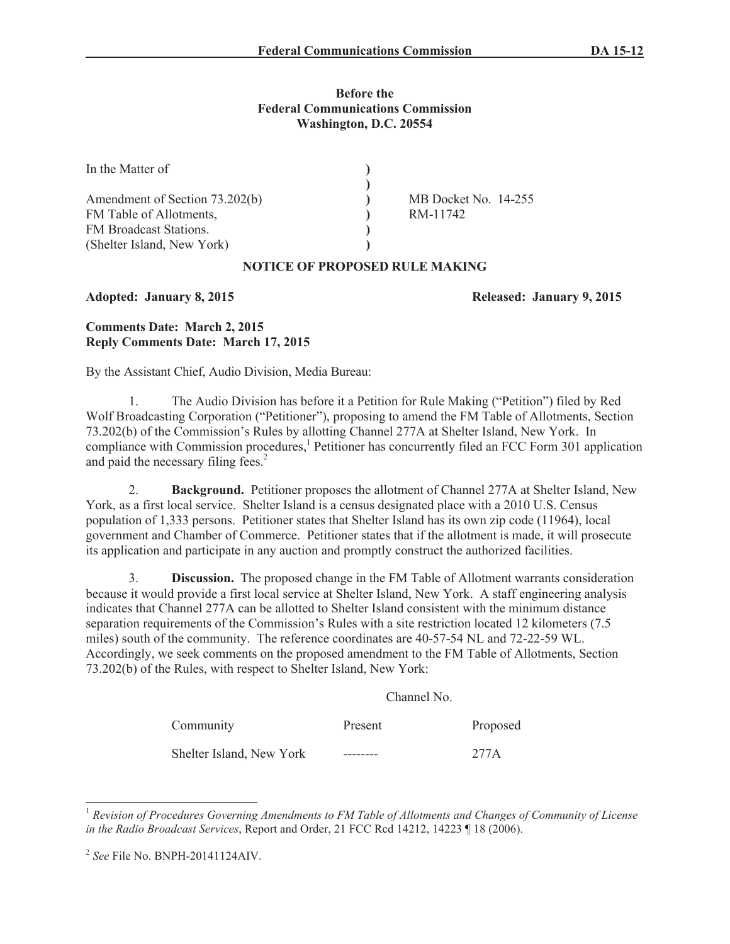### **Before the Federal Communications Commission Washington, D.C. 20554**

| In the Matter of               |                      |
|--------------------------------|----------------------|
|                                |                      |
| Amendment of Section 73.202(b) | MB Docket No. 14-255 |
| FM Table of Allotments,        | RM-11742             |
| <b>FM</b> Broadcast Stations.  |                      |
| (Shelter Island, New York)     |                      |

### **NOTICE OF PROPOSED RULE MAKING**

### **Adopted: January 8, 2015 Released: January 9, 2015**

# **Comments Date: March 2, 2015 Reply Comments Date: March 17, 2015**

By the Assistant Chief, Audio Division, Media Bureau:

1. The Audio Division has before it a Petition for Rule Making ("Petition") filed by Red Wolf Broadcasting Corporation ("Petitioner"), proposing to amend the FM Table of Allotments, Section 73.202(b) of the Commission's Rules by allotting Channel 277A at Shelter Island, New York. In compliance with Commission procedures,<sup>1</sup> Petitioner has concurrently filed an FCC Form 301 application and paid the necessary filing fees.<sup>2</sup>

2. **Background.** Petitioner proposes the allotment of Channel 277A at Shelter Island, New York, as a first local service. Shelter Island is a census designated place with a 2010 U.S. Census population of 1,333 persons. Petitioner states that Shelter Island has its own zip code (11964), local government and Chamber of Commerce. Petitioner states that if the allotment is made, it will prosecute its application and participate in any auction and promptly construct the authorized facilities.

3. **Discussion.** The proposed change in the FM Table of Allotment warrants consideration because it would provide a first local service at Shelter Island, New York. A staff engineering analysis indicates that Channel 277A can be allotted to Shelter Island consistent with the minimum distance separation requirements of the Commission's Rules with a site restriction located 12 kilometers (7.5 miles) south of the community. The reference coordinates are 40-57-54 NL and 72-22-59 WL. Accordingly, we seek comments on the proposed amendment to the FM Table of Allotments, Section 73.202(b) of the Rules, with respect to Shelter Island, New York:

### Channel No.

| Community                | Present | Proposed |
|--------------------------|---------|----------|
| Shelter Island, New York |         | 277A     |

<sup>1</sup> *Revision of Procedures Governing Amendments to FM Table of Allotments and Changes of Community of License in the Radio Broadcast Services*, Report and Order, 21 FCC Rcd 14212, 14223 ¶ 18 (2006).

<sup>2</sup> *See* File No. BNPH-20141124AIV.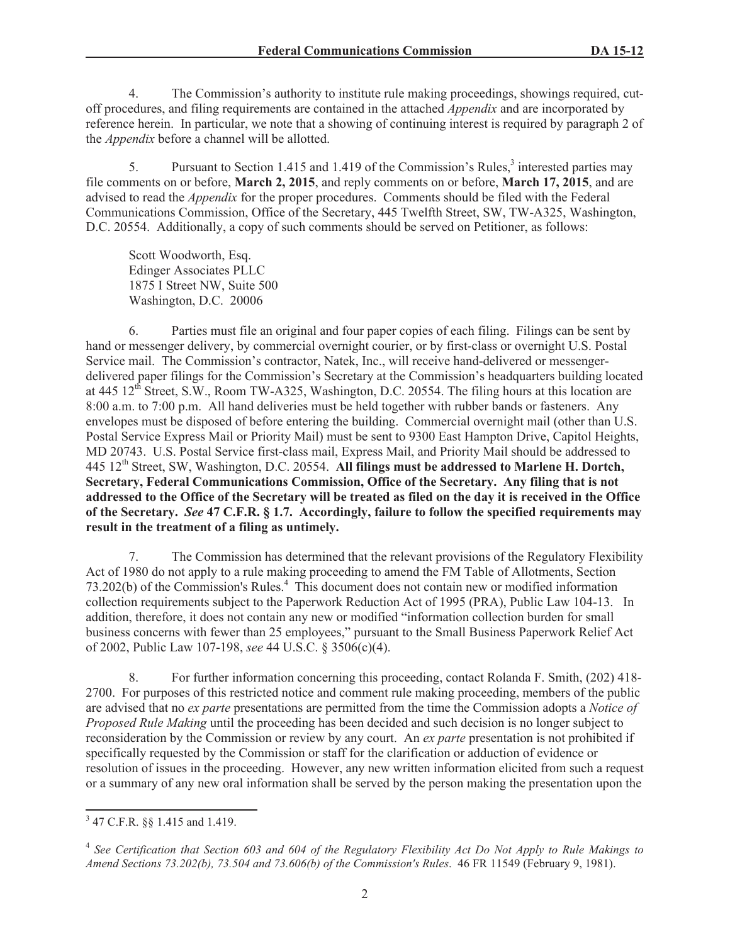4. The Commission's authority to institute rule making proceedings, showings required, cutoff procedures, and filing requirements are contained in the attached *Appendix* and are incorporated by reference herein. In particular, we note that a showing of continuing interest is required by paragraph 2 of the *Appendix* before a channel will be allotted.

5. Pursuant to Section 1.415 and 1.419 of the Commission's Rules,<sup>3</sup> interested parties may file comments on or before, **March 2, 2015**, and reply comments on or before, **March 17, 2015**, and are advised to read the *Appendix* for the proper procedures. Comments should be filed with the Federal Communications Commission, Office of the Secretary, 445 Twelfth Street, SW, TW-A325, Washington, D.C. 20554. Additionally, a copy of such comments should be served on Petitioner, as follows:

Scott Woodworth, Esq. Edinger Associates PLLC 1875 I Street NW, Suite 500 Washington, D.C. 20006

6. Parties must file an original and four paper copies of each filing. Filings can be sent by hand or messenger delivery, by commercial overnight courier, or by first-class or overnight U.S. Postal Service mail. The Commission's contractor, Natek, Inc., will receive hand-delivered or messengerdelivered paper filings for the Commission's Secretary at the Commission's headquarters building located at 445 12<sup>th</sup> Street, S.W., Room TW-A325, Washington, D.C. 20554. The filing hours at this location are 8:00 a.m. to 7:00 p.m. All hand deliveries must be held together with rubber bands or fasteners. Any envelopes must be disposed of before entering the building. Commercial overnight mail (other than U.S. Postal Service Express Mail or Priority Mail) must be sent to 9300 East Hampton Drive, Capitol Heights, MD 20743. U.S. Postal Service first-class mail, Express Mail, and Priority Mail should be addressed to 445 12<sup>th</sup> Street, SW, Washington, D.C. 20554. All filings must be addressed to Marlene H. Dortch, **Secretary, Federal Communications Commission, Office of the Secretary. Any filing that is not addressed to the Office of the Secretary will be treated as filed on the day it is received in the Office of the Secretary.** *See* **47 C.F.R. § 1.7. Accordingly, failure to follow the specified requirements may result in the treatment of a filing as untimely.** 

7. The Commission has determined that the relevant provisions of the Regulatory Flexibility Act of 1980 do not apply to a rule making proceeding to amend the FM Table of Allotments, Section 73.202(b) of the Commission's Rules.<sup>4</sup> This document does not contain new or modified information collection requirements subject to the Paperwork Reduction Act of 1995 (PRA), Public Law 104-13. In addition, therefore, it does not contain any new or modified "information collection burden for small business concerns with fewer than 25 employees," pursuant to the Small Business Paperwork Relief Act of 2002, Public Law 107-198, *see* 44 U.S.C. § 3506(c)(4).

8. For further information concerning this proceeding, contact Rolanda F. Smith, (202) 418- 2700. For purposes of this restricted notice and comment rule making proceeding, members of the public are advised that no *ex parte* presentations are permitted from the time the Commission adopts a *Notice of Proposed Rule Making* until the proceeding has been decided and such decision is no longer subject to reconsideration by the Commission or review by any court. An *ex parte* presentation is not prohibited if specifically requested by the Commission or staff for the clarification or adduction of evidence or resolution of issues in the proceeding. However, any new written information elicited from such a request or a summary of any new oral information shall be served by the person making the presentation upon the

<sup>3</sup> 47 C.F.R. §§ 1.415 and 1.419.

<sup>&</sup>lt;sup>4</sup> See Certification that Section 603 and 604 of the Regulatory Flexibility Act Do Not Apply to Rule Makings to *Amend Sections 73.202(b), 73.504 and 73.606(b) of the Commission's Rules*. 46 FR 11549 (February 9, 1981).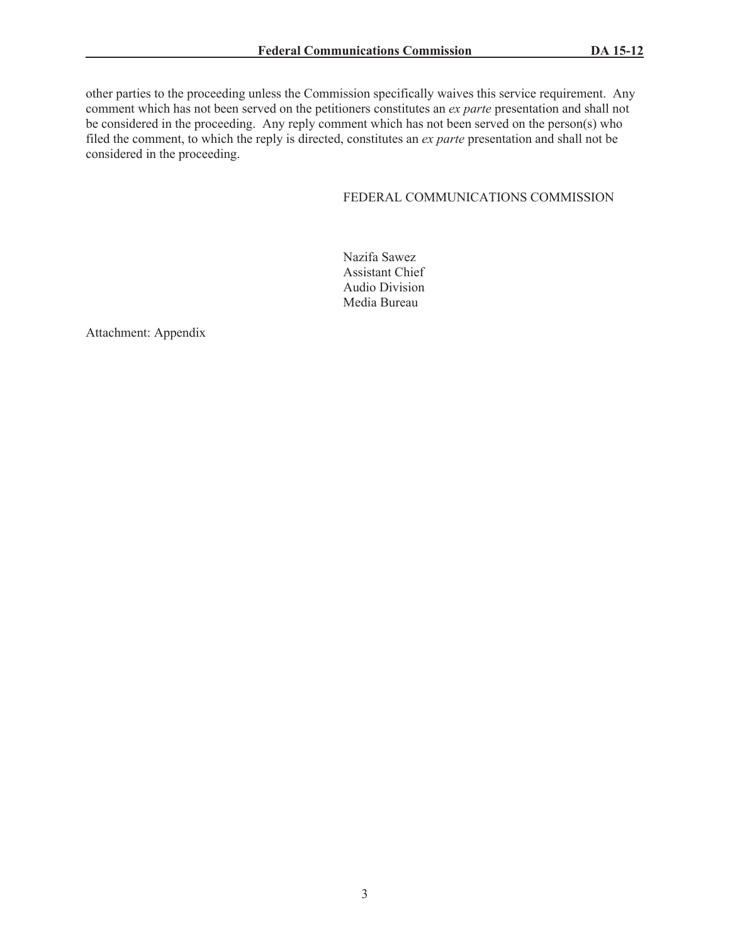other parties to the proceeding unless the Commission specifically waives this service requirement. Any comment which has not been served on the petitioners constitutes an *ex parte* presentation and shall not be considered in the proceeding. Any reply comment which has not been served on the person(s) who filed the comment, to which the reply is directed, constitutes an *ex parte* presentation and shall not be considered in the proceeding.

# FEDERAL COMMUNICATIONS COMMISSION

Nazifa Sawez Assistant Chief Audio Division Media Bureau

Attachment: Appendix